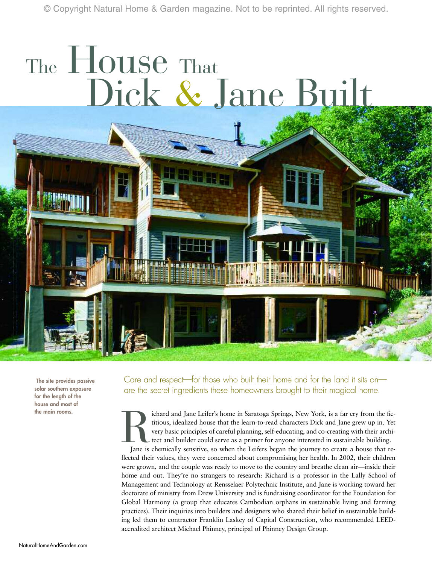© Copyright Natural Home & Garden magazine. Not to be reprinted. All rights reserved.

# The **House** That Dick & Jane Built

**The site provides passive solar southern exposure for the length of the house and most of** 

Care and respect—for those who built their home and for the land it sits on are the secret ingredients these homeowners brought to their magical home.

the main rooms.<br> **the main rooms.**<br> **the main rooms.**<br> **the main rooms,**<br> **the main rooms,**<br> **the intitious, idealized house that the learn-to-read characters Dick and Jane grew up in. Yet<br>
very basic principles of careful** titious, idealized house that the learn-to-read characters Dick and Jane grew up in. Yet very basic principles of careful planning, self-educating, and co-creating with their architect and builder could serve as a primer for anyone interested in sustainable building.

Jane is chemically sensitive, so when the Leifers began the journey to create a house that reflected their values, they were concerned about compromising her health. In 2002, their children were grown, and the couple was ready to move to the country and breathe clean air—inside their home and out. They're no strangers to research: Richard is a professor in the Lally School of Management and Technology at Rensselaer Polytechnic Institute, and Jane is working toward her doctorate of ministry from Drew University and is fundraising coordinator for the Foundation for Global Harmony (a group that educates Cambodian orphans in sustainable living and farming practices). Their inquiries into builders and designers who shared their belief in sustainable building led them to contractor Franklin Laskey of Capital Construction, who recommended LEEDaccredited architect Michael Phinney, principal of Phinney Design Group.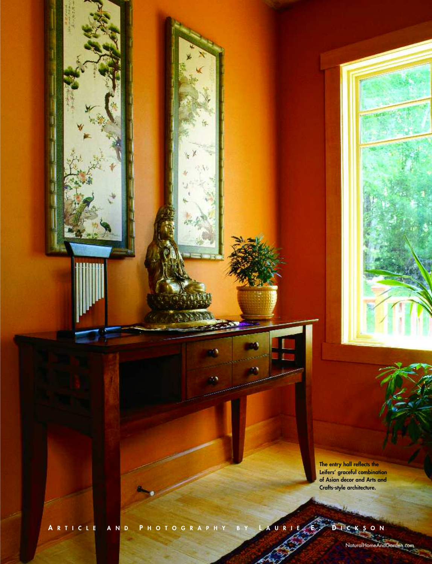**The entry hall reflects the Leifers' graceful combination of Asian decor and Arts and Crafts-style architecture.**

**A RTICLE AND P HOTOGRAPHY BY L AURIE E. D ICKSON**

NaturalHomeAndGarden.com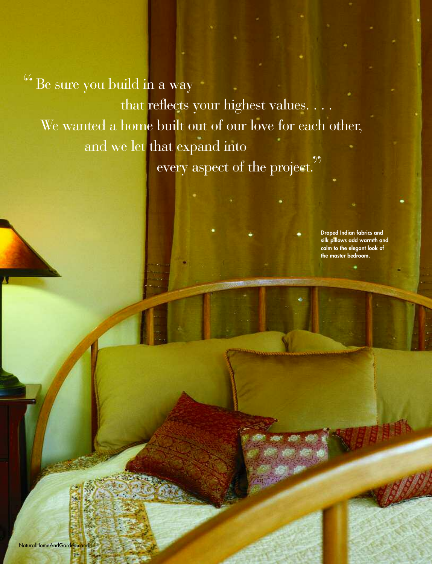"Be sure you build in a way that reflects your highest values. . . . We wanted a home built out of our love for each other, and we let that expand into every aspect of the project."

> **Draped Indian fabrics and silk pillows add warmth and calm to the elegant look of the master bedroom.**

NaturalHomeAndGarden.co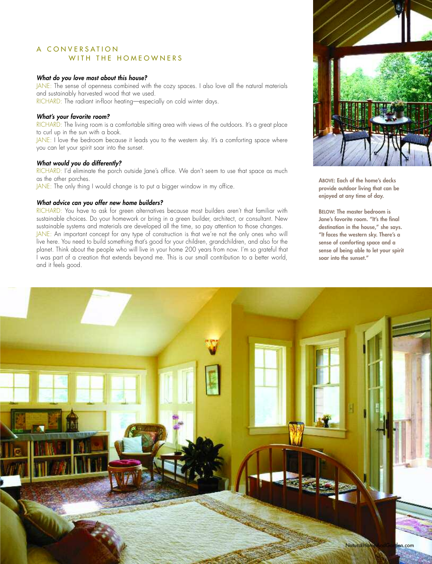# A CONVERSATION WITH THE HOMEOWNERS

#### *What do you love most about this house?*

JANE: The sense of openness combined with the cozy spaces. I also love all the natural materials and sustainably harvested wood that we used. RICHARD: The radiant in-floor heating—especially on cold winter days.

## *What's your favorite room?*

RICHARD: The living room is a comfortable sitting area with views of the outdoors. It's a great place to curl up in the sun with a book.

JANE: I love the bedroom because it leads you to the western sky. It's a comforting space where you can let your spirit soar into the sunset.

#### *What would you do differently?*

RICHARD: I'd eliminate the porch outside Jane's office. We don't seem to use that space as much as the other porches.

JANE: The only thing I would change is to put a bigger window in my office.

#### *What advice can you offer new home builders?*

RICHARD: You have to ask for green alternatives because most builders aren't that familiar with sustainable choices. Do your homework or bring in a green builder, architect, or consultant. New sustainable systems and materials are developed all the time, so pay attention to those changes. JANE: An important concept for any type of construction is that we're not the only ones who will live here. You need to build something that's good for your children, grandchildren, and also for the planet. Think about the people who will live in your home 200 years from now. I'm so grateful that I was part of a creation that extends beyond me. This is our small contribution to a better world, and it feels good.



**ABOVE: Each of the home's decks provide outdoor living that can be enjoyed at any time of day.**

**BELOW: The master bedroom is Jane's favorite room. "It's the final destination in the house," she says. "It faces the western sky. There's a sense of comforting space and a sense of being able to let your spirit soar into the sunset."**

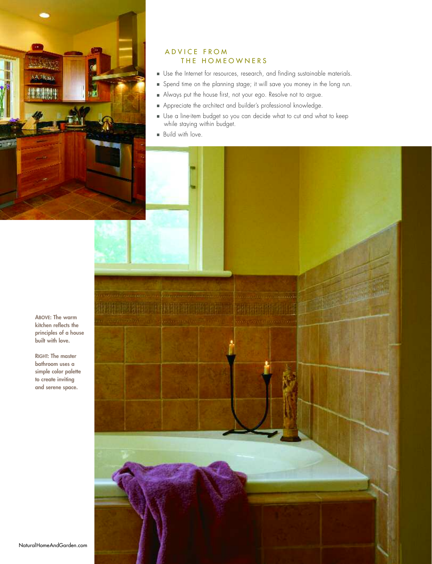

# ADVICE FROM THE HOMEOWNERS

- Use the Internet for resources, research, and finding sustainable materials.
- Spend time on the planning stage; it will save you money in the long run.
- Always put the house first, not your ego. Resolve not to argue.
- Appreciate the architect and builder's professional knowledge.
- Use a line-item budget so you can decide what to cut and what to keep while staying within budget.
- Build with love.

**ABOVE: The warm kitchen reflects the principles of a house built with love.**

**RIGHT: The master bathroom uses a simple color palette to create inviting and serene space.**

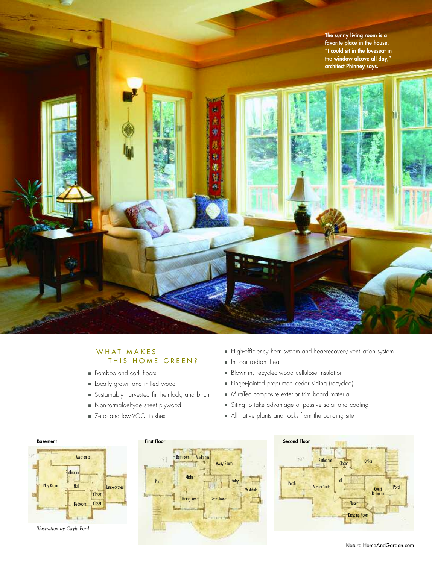**The sunny living room is a favorite place in the house. "I could sit in the loveseat in**



# WHAT MAKES THIS HOME GREEN?

- Bamboo and cork floors
- Locally grown and milled wood
- Sustainably harvested fir, hemlock, and birch
- Non-formaldehyde sheet plywood
- Zero- and low-VOC finishes
- High-efficiency heat system and heat-recovery ventilation system
- In-floor radiant heat
- Blown-in, recycled-wood cellulose insulation
- Finger-jointed preprimed cedar siding (recycled)
- MiraTec composite exterior trim board material
- Siting to take advantage of passive solar and cooling
- All native plants and rocks from the building site



*Illustration by Gayle Ford*